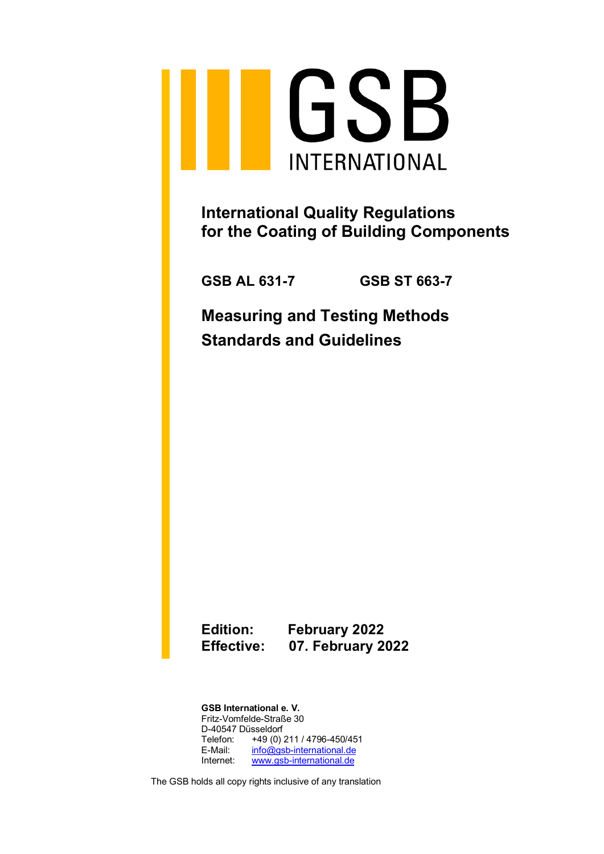

**International Quality Regulations for the Coating of Building Components**

**GSB AL 631-7 GSB ST 663-7**

**Measuring and Testing Methods Standards and Guidelines**

**Edition: February 2022 Effective: 07. February 2022**

**GSB International e. V.** Fritz-Vomfelde-Straße 30 D-40547 Düsseldorf Telefon: +49 (0) 211 / 4796-450/451 E-Mail: [info@gsb-international.de](mailto:info@gsb-international.de) Internet: [www.gsb-international.de](http://www.gsb-international.de/)

The GSB holds all copy rights inclusive of any translation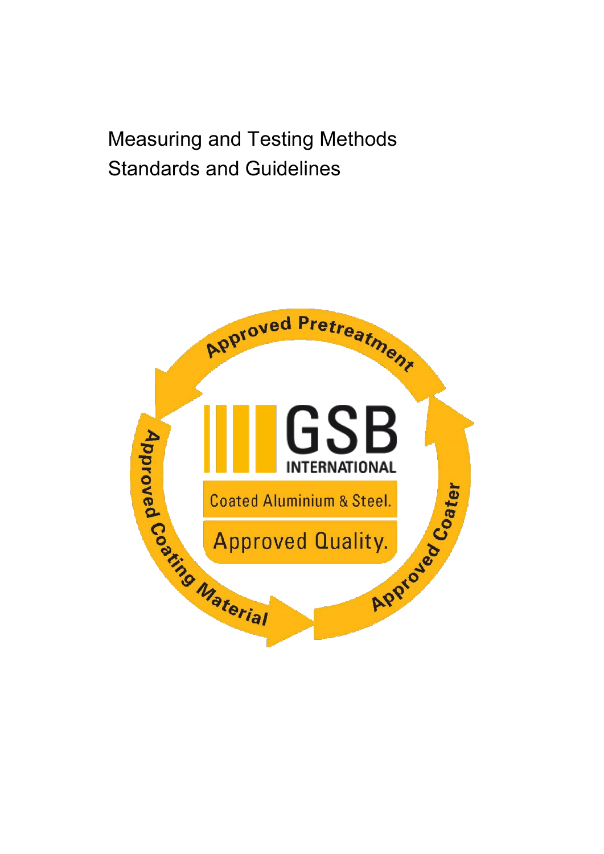# Measuring and Testing Methods Standards and Guidelines

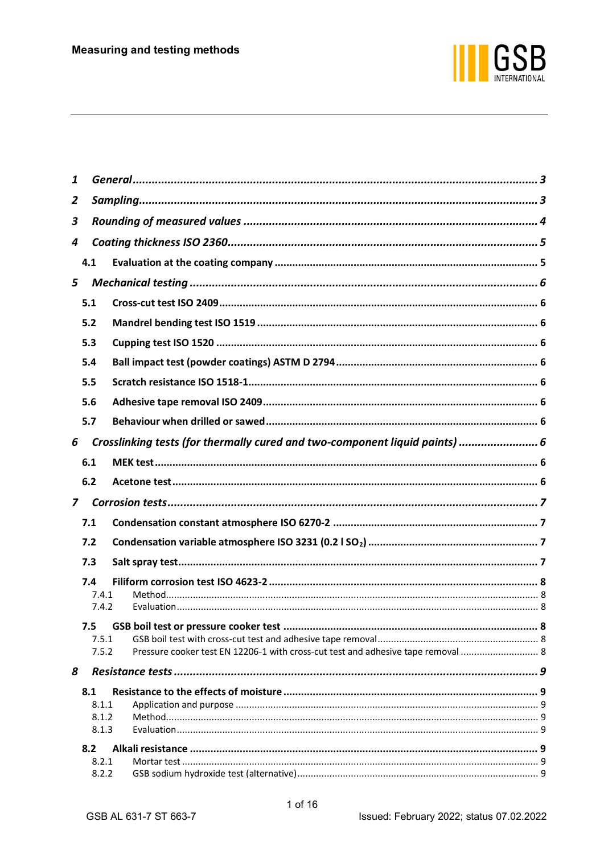

| 1              |     |       |                                                                                  |  |  |
|----------------|-----|-------|----------------------------------------------------------------------------------|--|--|
| 2              |     |       |                                                                                  |  |  |
| 3              |     |       |                                                                                  |  |  |
| 4              |     |       |                                                                                  |  |  |
|                | 4.1 |       |                                                                                  |  |  |
| 5              |     |       |                                                                                  |  |  |
|                | 5.1 |       |                                                                                  |  |  |
|                | 5.2 |       |                                                                                  |  |  |
|                | 5.3 |       |                                                                                  |  |  |
|                | 5.4 |       |                                                                                  |  |  |
|                | 5.5 |       |                                                                                  |  |  |
|                |     |       |                                                                                  |  |  |
|                | 5.6 |       |                                                                                  |  |  |
|                | 5.7 |       |                                                                                  |  |  |
| 6              |     |       | Crosslinking tests (for thermally cured and two-component liquid paints)  6      |  |  |
|                | 6.1 |       |                                                                                  |  |  |
|                | 6.2 |       |                                                                                  |  |  |
| $\overline{z}$ |     |       |                                                                                  |  |  |
|                | 7.1 |       |                                                                                  |  |  |
|                | 7.2 |       |                                                                                  |  |  |
|                | 7.3 |       |                                                                                  |  |  |
|                | 7.4 |       |                                                                                  |  |  |
|                |     | 7.4.1 |                                                                                  |  |  |
|                |     | 7.4.2 |                                                                                  |  |  |
|                |     |       | . 8                                                                              |  |  |
|                |     | 7.5.1 |                                                                                  |  |  |
|                |     | 7.5.2 | Pressure cooker test EN 12206-1 with cross-cut test and adhesive tape removal  8 |  |  |
| 8              |     |       |                                                                                  |  |  |
|                | 8.1 |       |                                                                                  |  |  |
|                |     | 8.1.1 |                                                                                  |  |  |
|                |     | 8.1.2 |                                                                                  |  |  |
|                |     | 8.1.3 |                                                                                  |  |  |
|                | 8.2 |       |                                                                                  |  |  |
|                |     | 8.2.1 |                                                                                  |  |  |
|                |     | 8.2.2 |                                                                                  |  |  |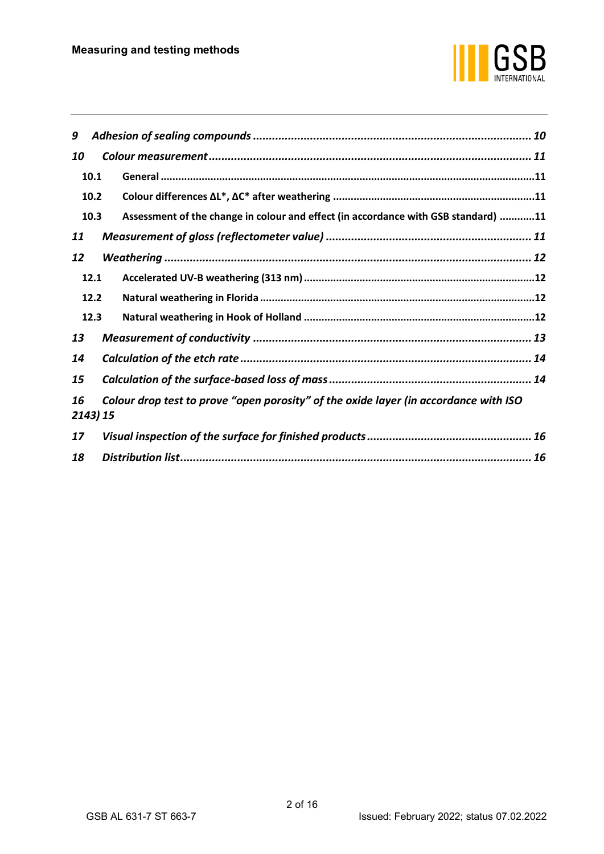

| 9                                                                                                      |  |                                                                                    |  |  |
|--------------------------------------------------------------------------------------------------------|--|------------------------------------------------------------------------------------|--|--|
| 10                                                                                                     |  |                                                                                    |  |  |
| 10.1                                                                                                   |  |                                                                                    |  |  |
| 10.2                                                                                                   |  |                                                                                    |  |  |
| 10.3                                                                                                   |  | Assessment of the change in colour and effect (in accordance with GSB standard) 11 |  |  |
| 11                                                                                                     |  |                                                                                    |  |  |
| 12                                                                                                     |  |                                                                                    |  |  |
| 12.1                                                                                                   |  |                                                                                    |  |  |
| 12.2                                                                                                   |  |                                                                                    |  |  |
| 12.3                                                                                                   |  |                                                                                    |  |  |
| 13                                                                                                     |  |                                                                                    |  |  |
| 14                                                                                                     |  |                                                                                    |  |  |
| 15                                                                                                     |  |                                                                                    |  |  |
| Colour drop test to prove "open porosity" of the oxide layer (in accordance with ISO<br>16<br>2143) 15 |  |                                                                                    |  |  |
| 17                                                                                                     |  |                                                                                    |  |  |
| 18                                                                                                     |  |                                                                                    |  |  |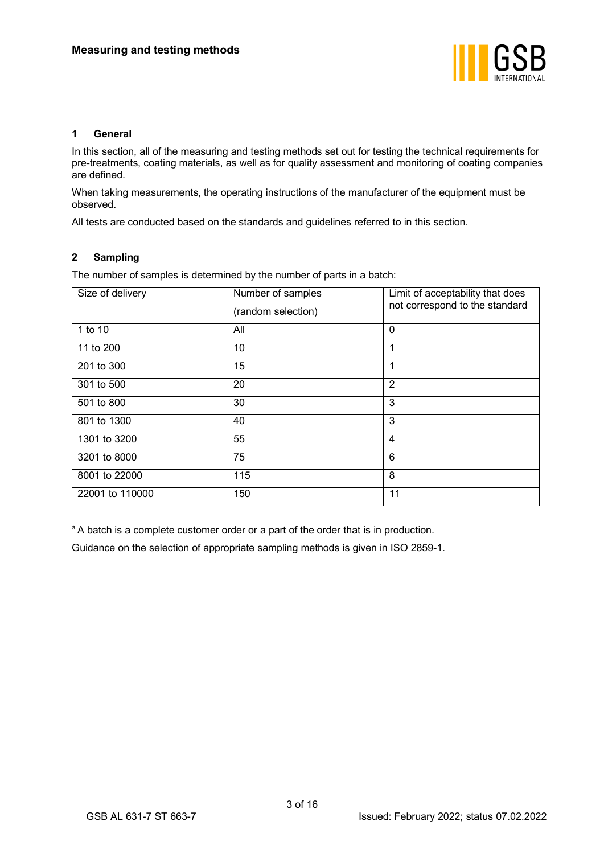

# <span id="page-4-0"></span>**1 General**

In this section, all of the measuring and testing methods set out for testing the technical requirements for pre-treatments, coating materials, as well as for quality assessment and monitoring of coating companies are defined.

When taking measurements, the operating instructions of the manufacturer of the equipment must be observed.

All tests are conducted based on the standards and guidelines referred to in this section.

# <span id="page-4-1"></span>**2 Sampling**

The number of samples is determined by the number of parts in a batch:

| Size of delivery | Number of samples<br>(random selection) | Limit of acceptability that does<br>not correspond to the standard |
|------------------|-----------------------------------------|--------------------------------------------------------------------|
| 1 to 10          | All                                     | $\mathbf 0$                                                        |
| 11 to 200        | 10                                      | 1                                                                  |
| 201 to 300       | 15                                      |                                                                    |
| 301 to 500       | 20                                      | 2                                                                  |
| 501 to 800       | 30                                      | 3                                                                  |
| 801 to 1300      | 40                                      | 3                                                                  |
| 1301 to 3200     | 55                                      | 4                                                                  |
| 3201 to 8000     | 75                                      | 6                                                                  |
| 8001 to 22000    | 115                                     | 8                                                                  |
| 22001 to 110000  | 150                                     | 11                                                                 |

<sup>a</sup> A batch is a complete customer order or a part of the order that is in production.

Guidance on the selection of appropriate sampling methods is given in ISO 2859-1.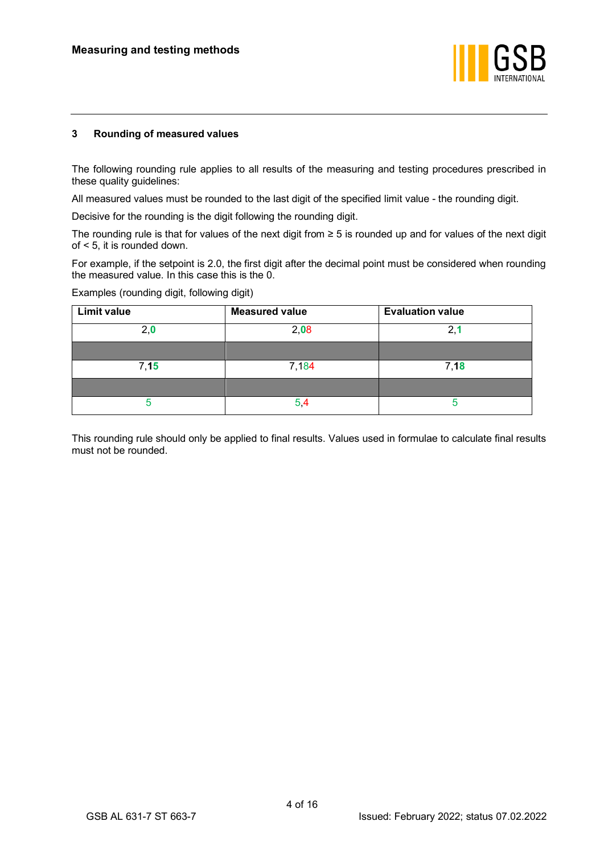

# <span id="page-5-0"></span>**3 Rounding of measured values**

The following rounding rule applies to all results of the measuring and testing procedures prescribed in these quality guidelines:

All measured values must be rounded to the last digit of the specified limit value - the rounding digit.

Decisive for the rounding is the digit following the rounding digit.

The rounding rule is that for values of the next digit from ≥ 5 is rounded up and for values of the next digit of < 5, it is rounded down.

For example, if the setpoint is 2.0, the first digit after the decimal point must be considered when rounding the measured value. In this case this is the 0.

| <b>Limit value</b> | <b>Measured value</b> | <b>Evaluation value</b> |
|--------------------|-----------------------|-------------------------|
| 2,0                | 2,08                  | 2,1                     |
|                    |                       |                         |
| 7,15               | 7,184                 | 7,18                    |
|                    |                       |                         |
|                    | ວ                     |                         |

Examples (rounding digit, following digit)

This rounding rule should only be applied to final results. Values used in formulae to calculate final results must not be rounded.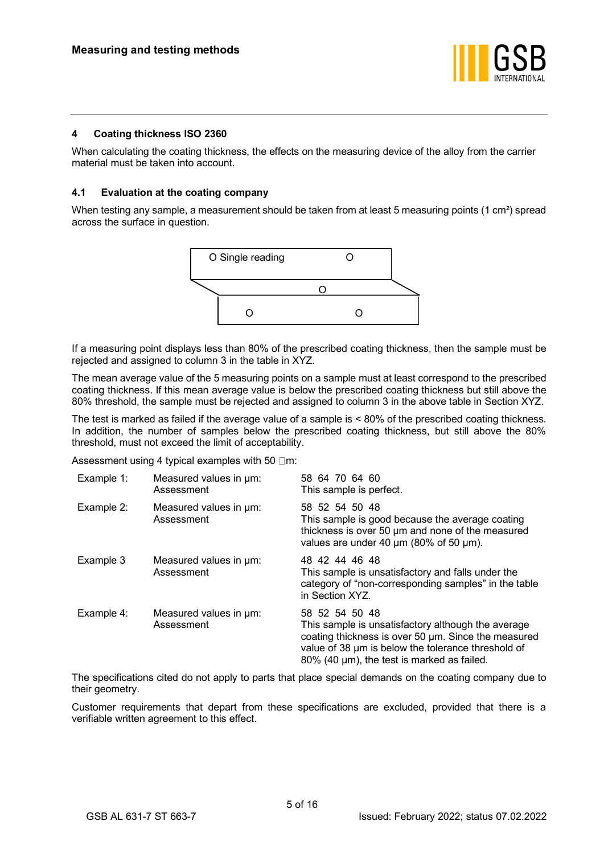

# <span id="page-6-0"></span>**4 Coating thickness ISO 2360**

When calculating the coating thickness, the effects on the measuring device of the alloy from the carrier material must be taken into account.

# <span id="page-6-1"></span>**4.1 Evaluation at the coating company**

When testing any sample, a measurement should be taken from at least 5 measuring points (1 cm<sup>2</sup>) spread across the surface in question.



If a measuring point displays less than 80% of the prescribed coating thickness, then the sample must be rejected and assigned to column 3 in the table in XYZ.

The mean average value of the 5 measuring points on a sample must at least correspond to the prescribed coating thickness. If this mean average value is below the prescribed coating thickness but still above the 80% threshold, the sample must be rejected and assigned to column 3 in the above table in Section XYZ.

The test is marked as failed if the average value of a sample is < 80% of the prescribed coating thickness. In addition, the number of samples below the prescribed coating thickness, but still above the 80% threshold, must not exceed the limit of acceptability.

Assessment using 4 typical examples with 50  $\Box$ m:

| Example 1: | Measured values in um:<br>Assessment | 58 64 70 64 60<br>This sample is perfect.                                                                                                                                                                                       |
|------------|--------------------------------------|---------------------------------------------------------------------------------------------------------------------------------------------------------------------------------------------------------------------------------|
| Example 2: | Measured values in um:<br>Assessment | 58 52 54 50 48<br>This sample is good because the average coating<br>thickness is over 50 um and none of the measured<br>values are under 40 $\mu$ m (80% of 50 $\mu$ m).                                                       |
| Example 3  | Measured values in um:<br>Assessment | 48 42 44 46 48<br>This sample is unsatisfactory and falls under the<br>category of "non-corresponding samples" in the table<br>in Section XYZ.                                                                                  |
| Example 4: | Measured values in um:<br>Assessment | 58 52 54 50 48<br>This sample is unsatisfactory although the average<br>coating thickness is over 50 um. Since the measured<br>value of 38 um is below the tolerance threshold of<br>80% (40 µm), the test is marked as failed. |

The specifications cited do not apply to parts that place special demands on the coating company due to their geometry.

Customer requirements that depart from these specifications are excluded, provided that there is a verifiable written agreement to this effect.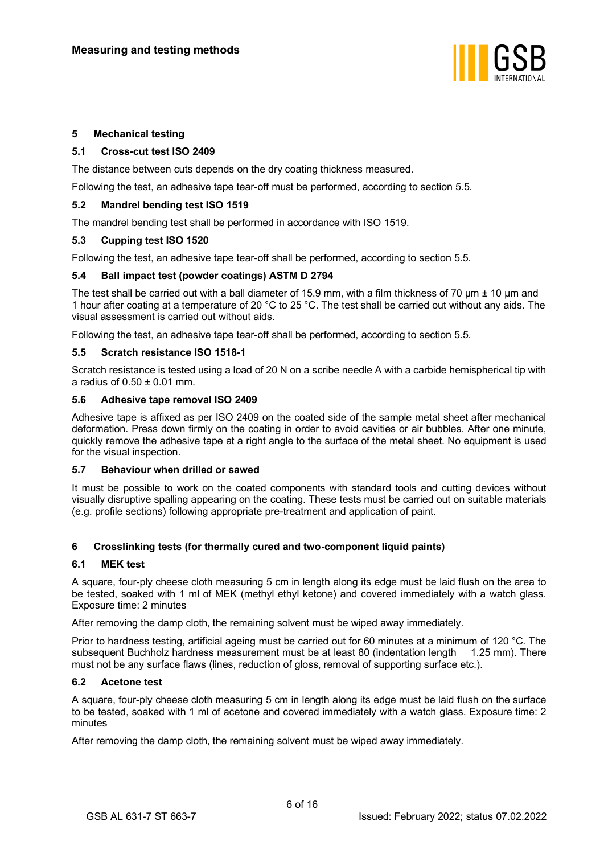

# <span id="page-7-0"></span>**5 Mechanical testing**

#### <span id="page-7-1"></span>**5.1 Cross-cut test ISO 2409**

The distance between cuts depends on the dry coating thickness measured.

Following the test, an adhesive tape tear-off must be performed, according to section 5.5.

# <span id="page-7-2"></span>**5.2 Mandrel bending test ISO 1519**

The mandrel bending test shall be performed in accordance with ISO 1519.

# <span id="page-7-3"></span>**5.3 Cupping test ISO 1520**

Following the test, an adhesive tape tear-off shall be performed, according to section 5.5.

# <span id="page-7-4"></span>**5.4 Ball impact test (powder coatings) ASTM D 2794**

The test shall be carried out with a ball diameter of 15.9 mm, with a film thickness of 70  $\mu$ m  $\pm$  10  $\mu$ m and 1 hour after coating at a temperature of 20 °C to 25 °C. The test shall be carried out without any aids. The visual assessment is carried out without aids.

Following the test, an adhesive tape tear-off shall be performed, according to section 5.5.

#### <span id="page-7-5"></span>**5.5 Scratch resistance ISO 1518-1**

Scratch resistance is tested using a load of 20 N on a scribe needle A with a carbide hemispherical tip with a radius of  $0.50 \pm 0.01$  mm.

#### <span id="page-7-6"></span>**5.6 Adhesive tape removal ISO 2409**

Adhesive tape is affixed as per ISO 2409 on the coated side of the sample metal sheet after mechanical deformation. Press down firmly on the coating in order to avoid cavities or air bubbles. After one minute, quickly remove the adhesive tape at a right angle to the surface of the metal sheet. No equipment is used for the visual inspection.

#### <span id="page-7-7"></span>**5.7 Behaviour when drilled or sawed**

It must be possible to work on the coated components with standard tools and cutting devices without visually disruptive spalling appearing on the coating. These tests must be carried out on suitable materials (e.g. profile sections) following appropriate pre-treatment and application of paint.

# <span id="page-7-8"></span>**6 Crosslinking tests (for thermally cured and two-component liquid paints)**

#### <span id="page-7-9"></span>**6.1 MEK test**

A square, four-ply cheese cloth measuring 5 cm in length along its edge must be laid flush on the area to be tested, soaked with 1 ml of MEK (methyl ethyl ketone) and covered immediately with a watch glass. Exposure time: 2 minutes

After removing the damp cloth, the remaining solvent must be wiped away immediately.

Prior to hardness testing, artificial ageing must be carried out for 60 minutes at a minimum of 120 °C. The subsequent Buchholz hardness measurement must be at least 80 (indentation length  $\Box$  1.25 mm). There must not be any surface flaws (lines, reduction of gloss, removal of supporting surface etc.).

#### <span id="page-7-10"></span>**6.2 Acetone test**

A square, four-ply cheese cloth measuring 5 cm in length along its edge must be laid flush on the surface to be tested, soaked with 1 ml of acetone and covered immediately with a watch glass. Exposure time: 2 minutes

After removing the damp cloth, the remaining solvent must be wiped away immediately.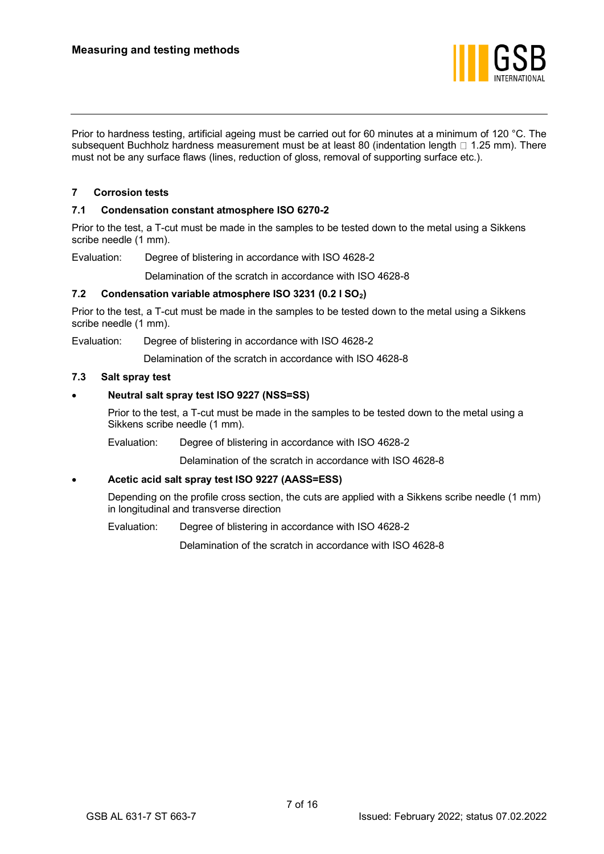

Prior to hardness testing, artificial ageing must be carried out for 60 minutes at a minimum of 120 °C. The subsequent Buchholz hardness measurement must be at least 80 (indentation length  $\Box$  1.25 mm). There must not be any surface flaws (lines, reduction of gloss, removal of supporting surface etc.).

# <span id="page-8-0"></span>**7 Corrosion tests**

# <span id="page-8-1"></span>**7.1 Condensation constant atmosphere ISO 6270-2**

Prior to the test, a T-cut must be made in the samples to be tested down to the metal using a Sikkens scribe needle (1 mm).

Evaluation: Degree of blistering in accordance with ISO 4628-2

Delamination of the scratch in accordance with ISO 4628-8

# <span id="page-8-2"></span>**7.2 Condensation variable atmosphere ISO 3231 (0.2 l SO2)**

Prior to the test, a T-cut must be made in the samples to be tested down to the metal using a Sikkens scribe needle (1 mm).

Evaluation: Degree of blistering in accordance with ISO 4628-2

Delamination of the scratch in accordance with ISO 4628-8

# <span id="page-8-3"></span>**7.3 Salt spray test**

# • **Neutral salt spray test ISO 9227 (NSS=SS)**

Prior to the test, a T-cut must be made in the samples to be tested down to the metal using a Sikkens scribe needle (1 mm).

Evaluation: Degree of blistering in accordance with ISO 4628-2

Delamination of the scratch in accordance with ISO 4628-8

# • **Acetic acid salt spray test ISO 9227 (AASS=ESS)**

Depending on the profile cross section, the cuts are applied with a Sikkens scribe needle (1 mm) in longitudinal and transverse direction

Evaluation: Degree of blistering in accordance with ISO 4628-2

Delamination of the scratch in accordance with ISO 4628-8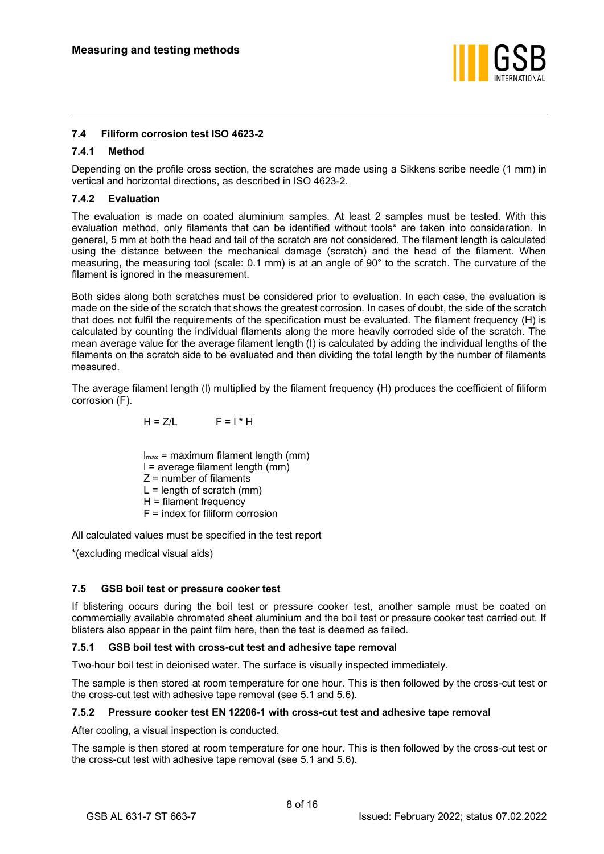

# <span id="page-9-0"></span>**7.4 Filiform corrosion test ISO 4623-2**

# <span id="page-9-1"></span>**7.4.1 Method**

Depending on the profile cross section, the scratches are made using a Sikkens scribe needle (1 mm) in vertical and horizontal directions, as described in ISO 4623-2.

# <span id="page-9-2"></span>**7.4.2 Evaluation**

The evaluation is made on coated aluminium samples. At least 2 samples must be tested. With this evaluation method, only filaments that can be identified without tools\* are taken into consideration. In general, 5 mm at both the head and tail of the scratch are not considered. The filament length is calculated using the distance between the mechanical damage (scratch) and the head of the filament. When measuring, the measuring tool (scale: 0.1 mm) is at an angle of 90° to the scratch. The curvature of the filament is ignored in the measurement.

Both sides along both scratches must be considered prior to evaluation. In each case, the evaluation is made on the side of the scratch that shows the greatest corrosion. In cases of doubt, the side of the scratch that does not fulfil the requirements of the specification must be evaluated. The filament frequency (H) is calculated by counting the individual filaments along the more heavily corroded side of the scratch. The mean average value for the average filament length (I) is calculated by adding the individual lengths of the filaments on the scratch side to be evaluated and then dividing the total length by the number of filaments measured.

The average filament length (l) multiplied by the filament frequency (H) produces the coefficient of filiform corrosion (F).

$$
H = Z/L
$$
  $F = I * H$ 

 $I_{\text{max}}$  = maximum filament length (mm) l = average filament length (mm)  $Z =$  number of filaments  $L =$  length of scratch (mm) H = filament frequency F = index for filiform corrosion

All calculated values must be specified in the test report

\*(excluding medical visual aids)

# <span id="page-9-3"></span>**7.5 GSB boil test or pressure cooker test**

If blistering occurs during the boil test or pressure cooker test, another sample must be coated on commercially available chromated sheet aluminium and the boil test or pressure cooker test carried out. If blisters also appear in the paint film here, then the test is deemed as failed.

# <span id="page-9-4"></span>**7.5.1 GSB boil test with cross-cut test and adhesive tape removal**

Two-hour boil test in deionised water. The surface is visually inspected immediately.

The sample is then stored at room temperature for one hour. This is then followed by the cross-cut test or the cross-cut test with adhesive tape removal (see [5.1](#page-7-1) and [5.6\)](#page-7-6).

# <span id="page-9-5"></span>**7.5.2 Pressure cooker test EN 12206-1 with cross-cut test and adhesive tape removal**

After cooling, a visual inspection is conducted.

The sample is then stored at room temperature for one hour. This is then followed by the cross-cut test or the cross-cut test with adhesive tape removal (see [5.1](#page-7-1) and [5.6\)](#page-7-6).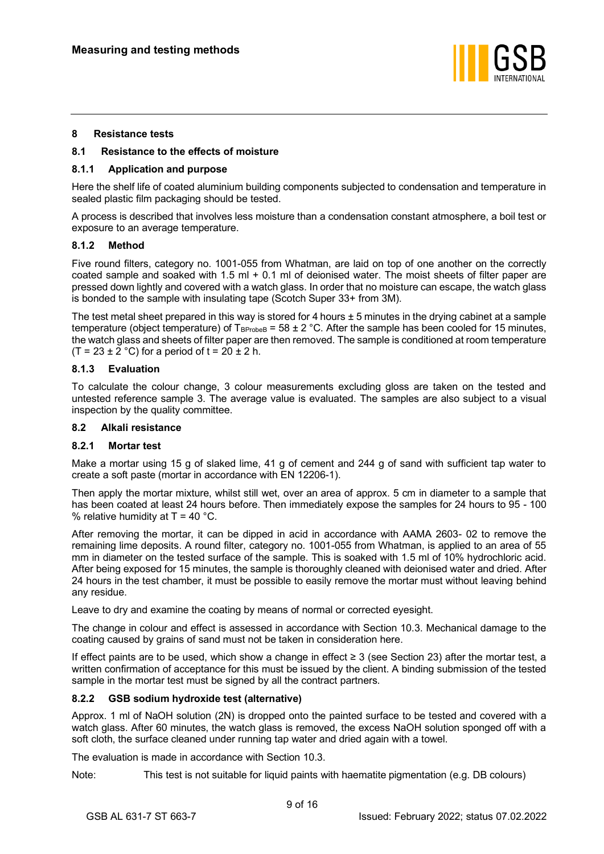

# <span id="page-10-0"></span>**8 Resistance tests**

# <span id="page-10-1"></span>**8.1 Resistance to the effects of moisture**

#### <span id="page-10-2"></span>**8.1.1 Application and purpose**

Here the shelf life of coated aluminium building components subjected to condensation and temperature in sealed plastic film packaging should be tested.

A process is described that involves less moisture than a condensation constant atmosphere, a boil test or exposure to an average temperature.

# <span id="page-10-3"></span>**8.1.2 Method**

Five round filters, category no. 1001-055 from Whatman, are laid on top of one another on the correctly coated sample and soaked with 1.5 ml  $+$  0.1 ml of deionised water. The moist sheets of filter paper are pressed down lightly and covered with a watch glass. In order that no moisture can escape, the watch glass is bonded to the sample with insulating tape (Scotch Super 33+ from 3M).

The test metal sheet prepared in this way is stored for 4 hours  $\pm$  5 minutes in the drying cabinet at a sample temperature (object temperature) of  $T_{\text{BProbeB}} = 58 \pm 2 \degree C$ . After the sample has been cooled for 15 minutes, the watch glass and sheets of filter paper are then removed. The sample is conditioned at room temperature  $(T = 23 \pm 2 \degree C)$  for a period of  $t = 20 \pm 2$  h.

# <span id="page-10-4"></span>**8.1.3 Evaluation**

To calculate the colour change, 3 colour measurements excluding gloss are taken on the tested and untested reference sample 3. The average value is evaluated. The samples are also subject to a visual inspection by the quality committee.

# <span id="page-10-5"></span>**8.2 Alkali resistance**

#### <span id="page-10-6"></span>**8.2.1 Mortar test**

Make a mortar using 15 g of slaked lime, 41 g of cement and 244 g of sand with sufficient tap water to create a soft paste (mortar in accordance with EN 12206-1).

Then apply the mortar mixture, whilst still wet, over an area of approx. 5 cm in diameter to a sample that has been coated at least 24 hours before. Then immediately expose the samples for 24 hours to 95 - 100 % relative humidity at  $T = 40$  °C.

After removing the mortar, it can be dipped in acid in accordance with AAMA 2603- 02 to remove the remaining lime deposits. A round filter, category no. 1001-055 from Whatman, is applied to an area of 55 mm in diameter on the tested surface of the sample. This is soaked with 1.5 ml of 10% hydrochloric acid. After being exposed for 15 minutes, the sample is thoroughly cleaned with deionised water and dried. After 24 hours in the test chamber, it must be possible to easily remove the mortar must without leaving behind any residue.

Leave to dry and examine the coating by means of normal or corrected eyesight.

The change in colour and effect is assessed in accordance with Section [10.3.](#page-12-3) Mechanical damage to the coating caused by grains of sand must not be taken in consideration here.

If effect paints are to be used, which show a change in effect ≥ 3 (see Section 23) after the mortar test, a written confirmation of acceptance for this must be issued by the client. A binding submission of the tested sample in the mortar test must be signed by all the contract partners.

# <span id="page-10-7"></span>**8.2.2 GSB sodium hydroxide test (alternative)**

Approx. 1 ml of NaOH solution (2N) is dropped onto the painted surface to be tested and covered with a watch glass. After 60 minutes, the watch glass is removed, the excess NaOH solution sponged off with a soft cloth, the surface cleaned under running tap water and dried again with a towel.

The evaluation is made in accordance with Section [10.3.](#page-12-3)

Note: This test is not suitable for liquid paints with haematite pigmentation (e.g. DB colours)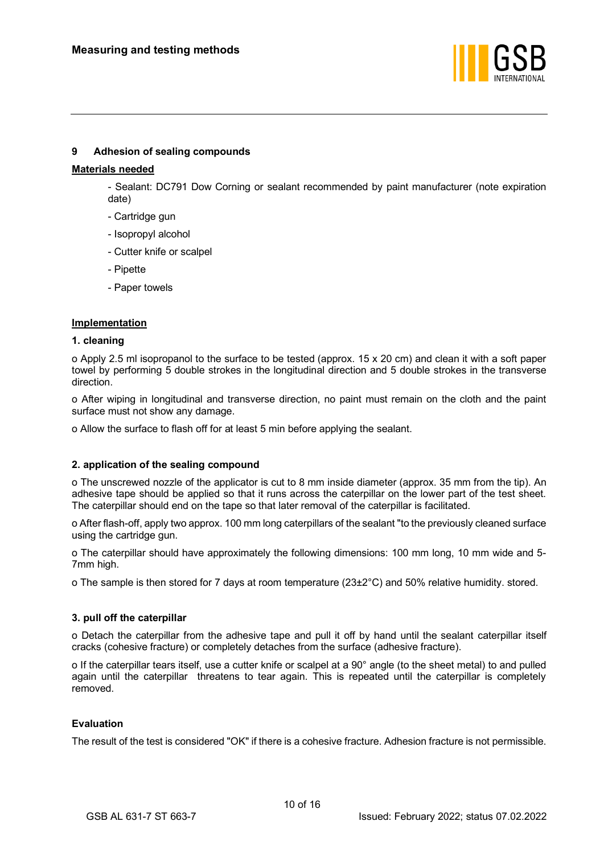

# <span id="page-11-0"></span>**9 Adhesion of sealing compounds**

# **Materials needed**

- Sealant: DC791 Dow Corning or sealant recommended by paint manufacturer (note expiration date)

- Cartridge gun
- Isopropyl alcohol
- Cutter knife or scalpel
- Pipette
- Paper towels

# **Implementation**

# **1. cleaning**

o Apply 2.5 ml isopropanol to the surface to be tested (approx. 15 x 20 cm) and clean it with a soft paper towel by performing 5 double strokes in the longitudinal direction and 5 double strokes in the transverse direction.

o After wiping in longitudinal and transverse direction, no paint must remain on the cloth and the paint surface must not show any damage.

o Allow the surface to flash off for at least 5 min before applying the sealant.

# **2. application of the sealing compound**

o The unscrewed nozzle of the applicator is cut to 8 mm inside diameter (approx. 35 mm from the tip). An adhesive tape should be applied so that it runs across the caterpillar on the lower part of the test sheet. The caterpillar should end on the tape so that later removal of the caterpillar is facilitated.

o After flash-off, apply two approx. 100 mm long caterpillars of the sealant "to the previously cleaned surface using the cartridge gun.

o The caterpillar should have approximately the following dimensions: 100 mm long, 10 mm wide and 5- 7mm high.

o The sample is then stored for 7 days at room temperature (23±2°C) and 50% relative humidity. stored.

# **3. pull off the caterpillar**

o Detach the caterpillar from the adhesive tape and pull it off by hand until the sealant caterpillar itself cracks (cohesive fracture) or completely detaches from the surface (adhesive fracture).

o If the caterpillar tears itself, use a cutter knife or scalpel at a 90° angle (to the sheet metal) to and pulled again until the caterpillar threatens to tear again. This is repeated until the caterpillar is completely removed.

# **Evaluation**

The result of the test is considered "OK" if there is a cohesive fracture. Adhesion fracture is not permissible.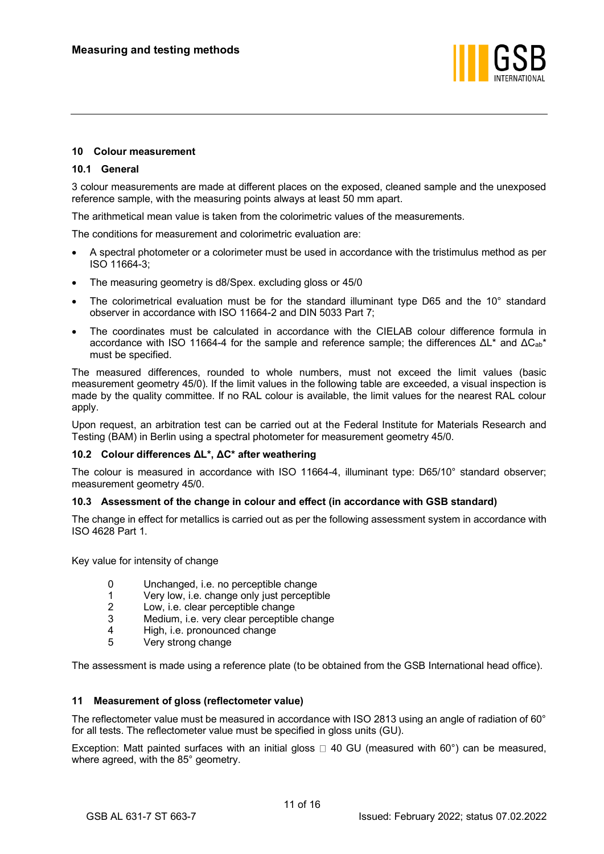

# <span id="page-12-0"></span>**10 Colour measurement**

# <span id="page-12-1"></span>**10.1 General**

3 colour measurements are made at different places on the exposed, cleaned sample and the unexposed reference sample, with the measuring points always at least 50 mm apart.

The arithmetical mean value is taken from the colorimetric values of the measurements.

The conditions for measurement and colorimetric evaluation are:

- A spectral photometer or a colorimeter must be used in accordance with the tristimulus method as per ISO 11664-3;
- The measuring geometry is d8/Spex. excluding gloss or 45/0
- The colorimetrical evaluation must be for the standard illuminant type D65 and the 10° standard observer in accordance with ISO 11664-2 and DIN 5033 Part 7;
- The coordinates must be calculated in accordance with the CIELAB colour difference formula in accordance with ISO 11664-4 for the sample and reference sample; the differences  $ΔL^*$  and  $ΔC_{ab}^*$ must be specified.

The measured differences, rounded to whole numbers, must not exceed the limit values (basic measurement geometry 45/0). If the limit values in the following table are exceeded, a visual inspection is made by the quality committee. If no RAL colour is available, the limit values for the nearest RAL colour apply.

Upon request, an arbitration test can be carried out at the Federal Institute for Materials Research and Testing (BAM) in Berlin using a spectral photometer for measurement geometry 45/0.

# <span id="page-12-2"></span>**10.2 Colour differences ΔL\*, ΔC\* after weathering**

The colour is measured in accordance with ISO 11664-4, illuminant type: D65/10° standard observer; measurement geometry 45/0.

#### <span id="page-12-3"></span>**10.3 Assessment of the change in colour and effect (in accordance with GSB standard)**

The change in effect for metallics is carried out as per the following assessment system in accordance with ISO 4628 Part 1.

Key value for intensity of change

- 0 Unchanged, i.e. no perceptible change
- 1 Very low, i.e. change only just perceptible
- 2 Low, i.e. clear perceptible change
- 3 Medium, i.e. very clear perceptible change
- 4 High, i.e. pronounced change<br>5 Very strong change
- 5 Very strong change

The assessment is made using a reference plate (to be obtained from the GSB International head office).

#### <span id="page-12-4"></span>**11 Measurement of gloss (reflectometer value)**

The reflectometer value must be measured in accordance with ISO 2813 using an angle of radiation of 60° for all tests. The reflectometer value must be specified in gloss units (GU).

Exception: Matt painted surfaces with an initial gloss  $\Box$  40 GU (measured with 60°) can be measured, where agreed, with the 85° geometry.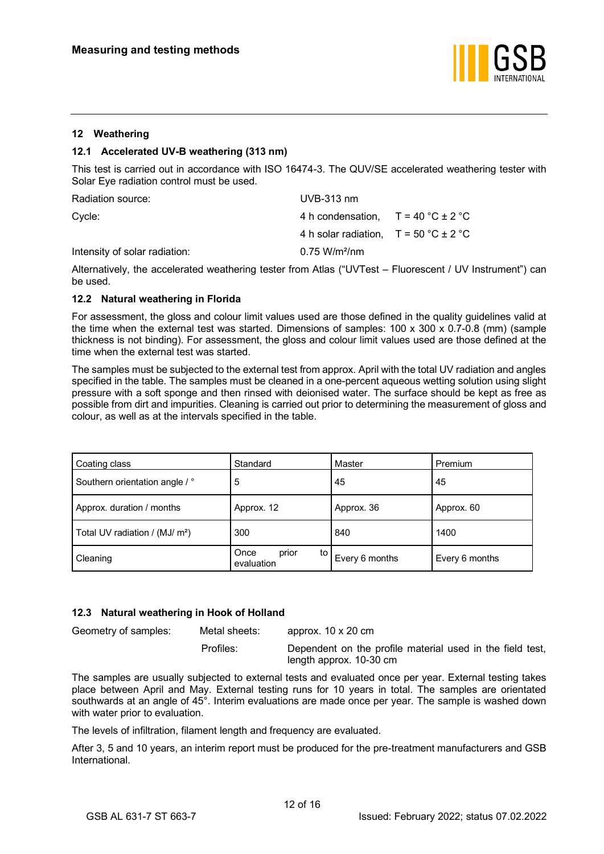

# <span id="page-13-0"></span>**12 Weathering**

# <span id="page-13-1"></span>**12.1 Accelerated UV-B weathering (313 nm)**

This test is carried out in accordance with ISO 16474-3. The QUV/SE accelerated weathering tester with Solar Eye radiation control must be used.

| Radiation source:             | $UVB-313$ nm                                         |  |
|-------------------------------|------------------------------------------------------|--|
| Cycle:                        | 4 h condensation, $T = 40 \degree C \pm 2 \degree C$ |  |
|                               | 4 h solar radiation. $T = 50 °C \pm 2 °C$            |  |
| Intensity of solar radiation: | $0.75 W/m^2/nm$                                      |  |

Alternatively, the accelerated weathering tester from Atlas ("UVTest – Fluorescent / UV Instrument") can be used.

#### <span id="page-13-2"></span>**12.2 Natural weathering in Florida**

For assessment, the gloss and colour limit values used are those defined in the quality guidelines valid at the time when the external test was started. Dimensions of samples: 100 x 300 x 0.7-0.8 (mm) (sample thickness is not binding). For assessment, the gloss and colour limit values used are those defined at the time when the external test was started.

The samples must be subjected to the external test from approx. April with the total UV radiation and angles specified in the table. The samples must be cleaned in a one-percent aqueous wetting solution using slight pressure with a soft sponge and then rinsed with deionised water. The surface should be kept as free as possible from dirt and impurities. Cleaning is carried out prior to determining the measurement of gloss and colour, as well as at the intervals specified in the table.

| Coating class                              | Standard                          | Master         | Premium        |
|--------------------------------------------|-----------------------------------|----------------|----------------|
| Southern orientation angle / °             | 5                                 | 45             | 45             |
| Approx. duration / months                  | Approx. 12                        | Approx. 36     | Approx. 60     |
| Total UV radiation / (MJ/ m <sup>2</sup> ) | 300                               | 840            | 1400           |
| Cleaning                                   | Once<br>prior<br>to<br>evaluation | Every 6 months | Every 6 months |

# <span id="page-13-3"></span>**12.3 Natural weathering in Hook of Holland**

Geometry of samples: Metal sheets: approx. 10 x 20 cm

Profiles: Dependent on the profile material used in the field test, length approx. 10-30 cm

The samples are usually subjected to external tests and evaluated once per year. External testing takes place between April and May. External testing runs for 10 years in total. The samples are orientated southwards at an angle of 45°. Interim evaluations are made once per year. The sample is washed down with water prior to evaluation.

The levels of infiltration, filament length and frequency are evaluated.

After 3, 5 and 10 years, an interim report must be produced for the pre-treatment manufacturers and GSB International.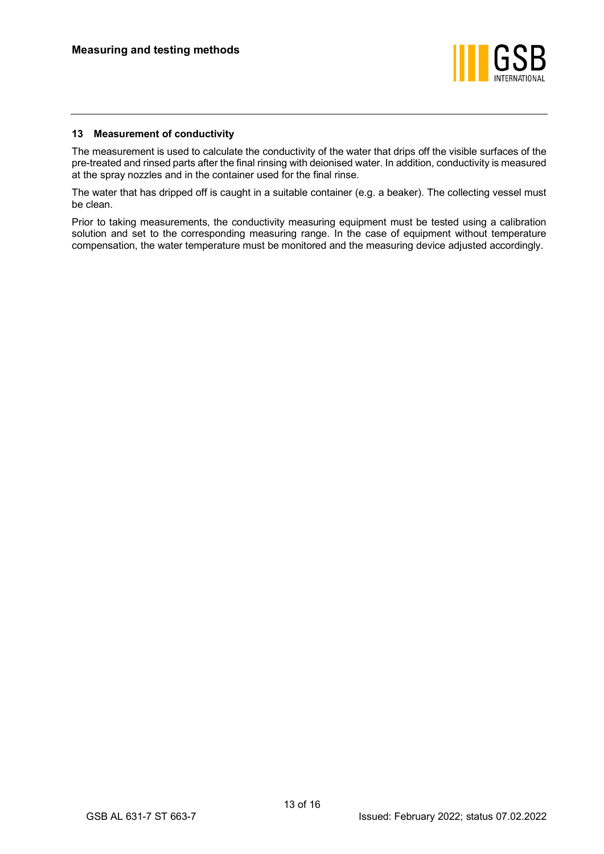

# <span id="page-14-0"></span>**13 Measurement of conductivity**

The measurement is used to calculate the conductivity of the water that drips off the visible surfaces of the pre-treated and rinsed parts after the final rinsing with deionised water. In addition, conductivity is measured at the spray nozzles and in the container used for the final rinse.

The water that has dripped off is caught in a suitable container (e.g. a beaker). The collecting vessel must be clean.

Prior to taking measurements, the conductivity measuring equipment must be tested using a calibration solution and set to the corresponding measuring range. In the case of equipment without temperature compensation, the water temperature must be monitored and the measuring device adjusted accordingly.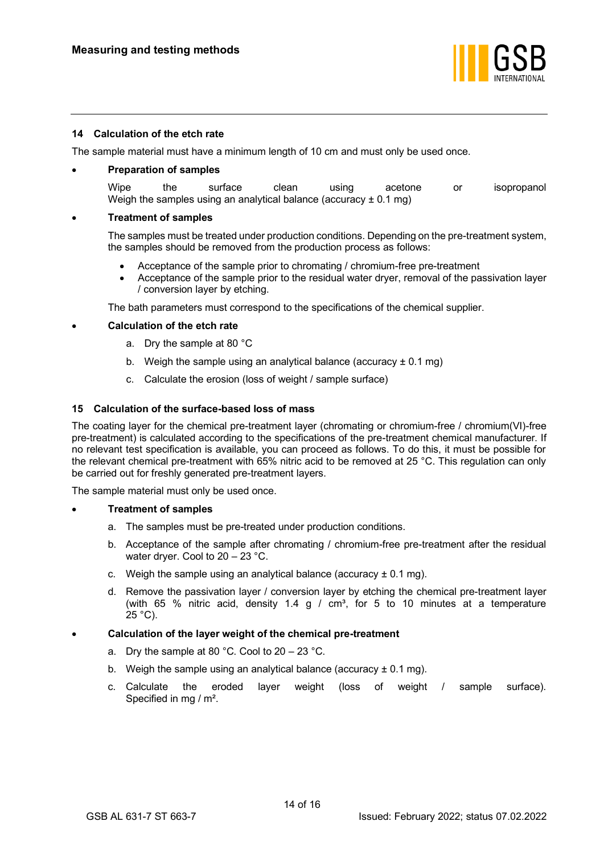

# <span id="page-15-0"></span>**14 Calculation of the etch rate**

The sample material must have a minimum length of 10 cm and must only be used once.

#### • **Preparation of samples**

Wipe the surface clean using acetone or isopropanol Weigh the samples using an analytical balance (accuracy  $\pm$  0.1 mg)

#### • **Treatment of samples**

The samples must be treated under production conditions. Depending on the pre-treatment system, the samples should be removed from the production process as follows:

- Acceptance of the sample prior to chromating / chromium-free pre-treatment
- Acceptance of the sample prior to the residual water dryer, removal of the passivation layer / conversion layer by etching.

The bath parameters must correspond to the specifications of the chemical supplier.

# • **Calculation of the etch rate**

- a. Dry the sample at 80 °C
- b. Weigh the sample using an analytical balance (accuracy  $\pm$  0.1 mg)
- c. Calculate the erosion (loss of weight / sample surface)

# <span id="page-15-1"></span>**15 Calculation of the surface-based loss of mass**

The coating layer for the chemical pre-treatment layer (chromating or chromium-free / chromium(VI)-free pre-treatment) is calculated according to the specifications of the pre-treatment chemical manufacturer. If no relevant test specification is available, you can proceed as follows. To do this, it must be possible for the relevant chemical pre-treatment with 65% nitric acid to be removed at 25 °C. This regulation can only be carried out for freshly generated pre-treatment layers.

The sample material must only be used once.

#### • **Treatment of samples**

- a. The samples must be pre-treated under production conditions.
- b. Acceptance of the sample after chromating / chromium-free pre-treatment after the residual water dryer. Cool to 20 – 23 °C.
- c. Weigh the sample using an analytical balance (accuracy  $\pm$  0.1 mg).
- d. Remove the passivation layer / conversion layer by etching the chemical pre-treatment layer (with 65 % nitric acid, density 1.4 g /  $cm<sup>3</sup>$ , for 5 to 10 minutes at a temperature  $25 °C$ ).

#### • **Calculation of the layer weight of the chemical pre-treatment**

- a. Dry the sample at 80 °C. Cool to  $20 23$  °C.
- b. Weigh the sample using an analytical balance (accuracy  $\pm$  0.1 mg).
- c. Calculate the eroded layer weight (loss of weight / sample surface). Specified in mg / m².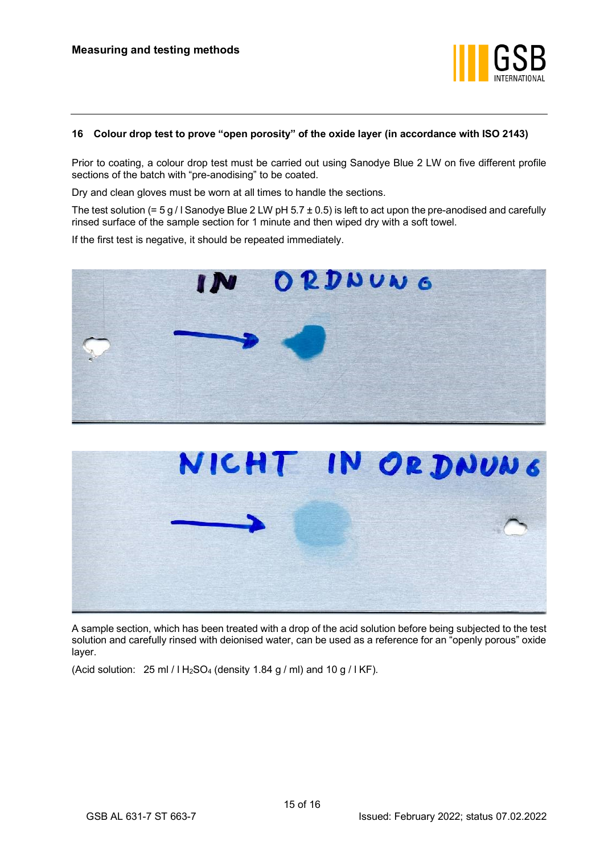

# <span id="page-16-0"></span>**16 Colour drop test to prove "open porosity" of the oxide layer (in accordance with ISO 2143)**

Prior to coating, a colour drop test must be carried out using Sanodye Blue 2 LW on five different profile sections of the batch with "pre-anodising" to be coated.

Dry and clean gloves must be worn at all times to handle the sections.

The test solution (=  $5 g /$  | Sanodye Blue 2 LW pH  $5.7 \pm 0.5$ ) is left to act upon the pre-anodised and carefully rinsed surface of the sample section for 1 minute and then wiped dry with a soft towel.

If the first test is negative, it should be repeated immediately.





A sample section, which has been treated with a drop of the acid solution before being subjected to the test solution and carefully rinsed with deionised water, can be used as a reference for an "openly porous" oxide layer.

(Acid solution:  $25 \text{ ml} / 1 \text{ H}_2 \text{SO}_4$  (density 1.84 g / ml) and 10 g / l KF).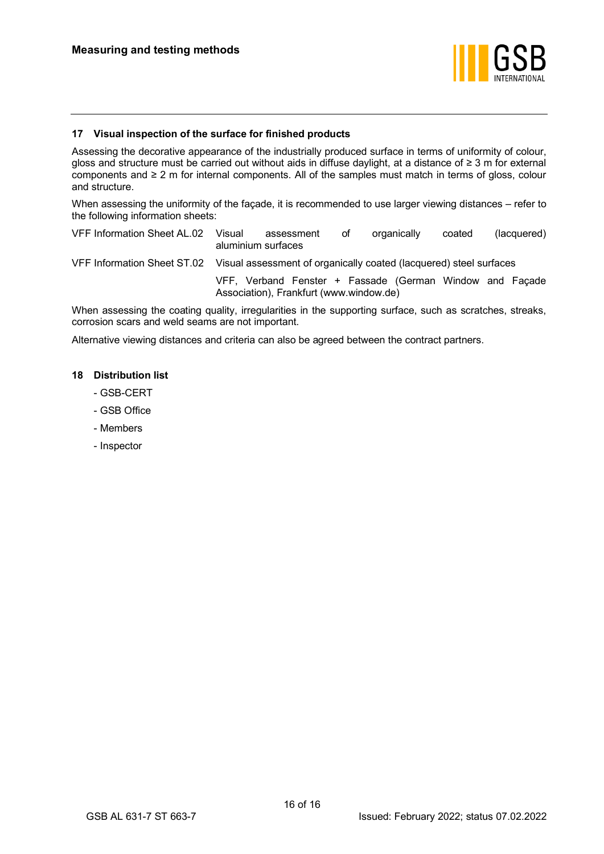

# <span id="page-17-0"></span>**17 Visual inspection of the surface for finished products**

Assessing the decorative appearance of the industrially produced surface in terms of uniformity of colour, gloss and structure must be carried out without aids in diffuse daylight, at a distance of ≥ 3 m for external components and ≥ 2 m for internal components. All of the samples must match in terms of gloss, colour and structure.

When assessing the uniformity of the façade, it is recommended to use larger viewing distances – refer to the following information sheets:

VFF Information Sheet AL.02 Visual assessment of organically coated (lacquered) aluminium surfaces

VFF Information Sheet ST.02 Visual assessment of organically coated (lacquered) steel surfaces

VFF, Verband Fenster + Fassade (German Window and Façade Association), Frankfurt (www.window.de)

When assessing the coating quality, irregularities in the supporting surface, such as scratches, streaks, corrosion scars and weld seams are not important.

Alternative viewing distances and criteria can also be agreed between the contract partners.

# <span id="page-17-1"></span>**18 Distribution list**

- GSB-CERT
- GSB Office
- Members
- Inspector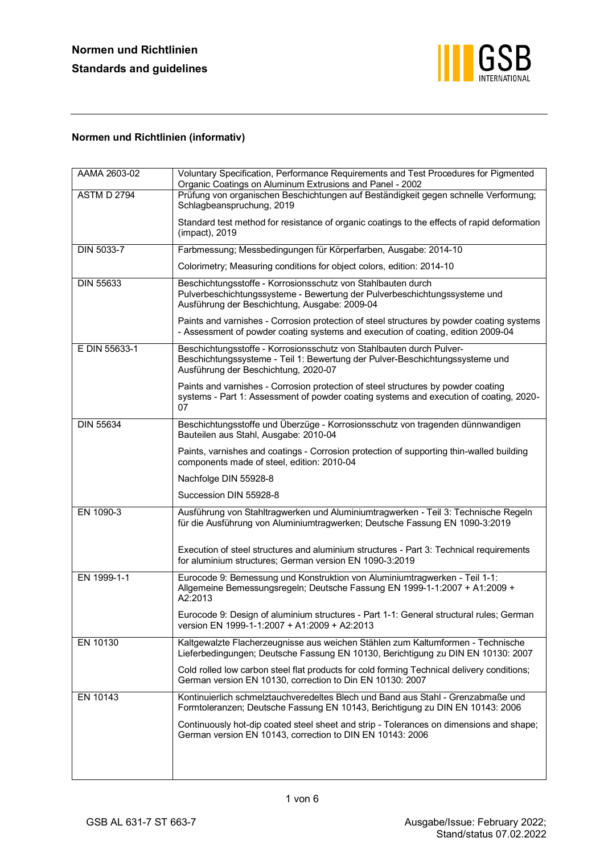

# **Normen und Richtlinien (informativ)**

| AAMA 2603-02       | Voluntary Specification, Performance Requirements and Test Procedures for Pigmented<br>Organic Coatings on Aluminum Extrusions and Panel - 2002                                              |
|--------------------|----------------------------------------------------------------------------------------------------------------------------------------------------------------------------------------------|
| <b>ASTM D 2794</b> | Prüfung von organischen Beschichtungen auf Beständigkeit gegen schnelle Verformung;<br>Schlagbeanspruchung, 2019                                                                             |
|                    | Standard test method for resistance of organic coatings to the effects of rapid deformation<br>(impact), 2019                                                                                |
| DIN 5033-7         | Farbmessung; Messbedingungen für Körperfarben, Ausgabe: 2014-10                                                                                                                              |
|                    | Colorimetry; Measuring conditions for object colors, edition: 2014-10                                                                                                                        |
| <b>DIN 55633</b>   | Beschichtungsstoffe - Korrosionsschutz von Stahlbauten durch<br>Pulverbeschichtungssysteme - Bewertung der Pulverbeschichtungssysteme und<br>Ausführung der Beschichtung, Ausgabe: 2009-04   |
|                    | Paints and varnishes - Corrosion protection of steel structures by powder coating systems<br>- Assessment of powder coating systems and execution of coating, edition 2009-04                |
| E DIN 55633-1      | Beschichtungsstoffe - Korrosionsschutz von Stahlbauten durch Pulver-<br>Beschichtungssysteme - Teil 1: Bewertung der Pulver-Beschichtungssysteme und<br>Ausführung der Beschichtung, 2020-07 |
|                    | Paints and varnishes - Corrosion protection of steel structures by powder coating<br>systems - Part 1: Assessment of powder coating systems and execution of coating, 2020-<br>07            |
| <b>DIN 55634</b>   | Beschichtungsstoffe und Überzüge - Korrosionsschutz von tragenden dünnwandigen<br>Bauteilen aus Stahl, Ausgabe: 2010-04                                                                      |
|                    | Paints, varnishes and coatings - Corrosion protection of supporting thin-walled building<br>components made of steel, edition: 2010-04                                                       |
|                    | Nachfolge DIN 55928-8                                                                                                                                                                        |
|                    | Succession DIN 55928-8                                                                                                                                                                       |
| EN 1090-3          | Ausführung von Stahltragwerken und Aluminiumtragwerken - Teil 3: Technische Regeln<br>für die Ausführung von Aluminiumtragwerken; Deutsche Fassung EN 1090-3:2019                            |
|                    | Execution of steel structures and aluminium structures - Part 3: Technical requirements<br>for aluminium structures; German version EN 1090-3:2019                                           |
| EN 1999-1-1        | Eurocode 9: Bemessung und Konstruktion von Aluminiumtragwerken - Teil 1-1:<br>Allgemeine Bemessungsregeln; Deutsche Fassung EN 1999-1-1:2007 + A1:2009 +<br>A2:2013                          |
|                    | Eurocode 9: Design of aluminium structures - Part 1-1: General structural rules; German<br>version EN 1999-1-1:2007 + A1:2009 + A2:2013                                                      |
| EN 10130           | Kaltgewalzte Flacherzeugnisse aus weichen Stählen zum Kaltumformen - Technische<br>Lieferbedingungen; Deutsche Fassung EN 10130, Berichtigung zu DIN EN 10130: 2007                          |
|                    | Cold rolled low carbon steel flat products for cold forming Technical delivery conditions;<br>German version EN 10130, correction to Din EN 10130: 2007                                      |
| EN 10143           | Kontinuierlich schmelztauchveredeltes Blech und Band aus Stahl - Grenzabmaße und<br>Formtoleranzen; Deutsche Fassung EN 10143, Berichtigung zu DIN EN 10143: 2006                            |
|                    | Continuously hot-dip coated steel sheet and strip - Tolerances on dimensions and shape;<br>German version EN 10143, correction to DIN EN 10143: 2006                                         |
|                    |                                                                                                                                                                                              |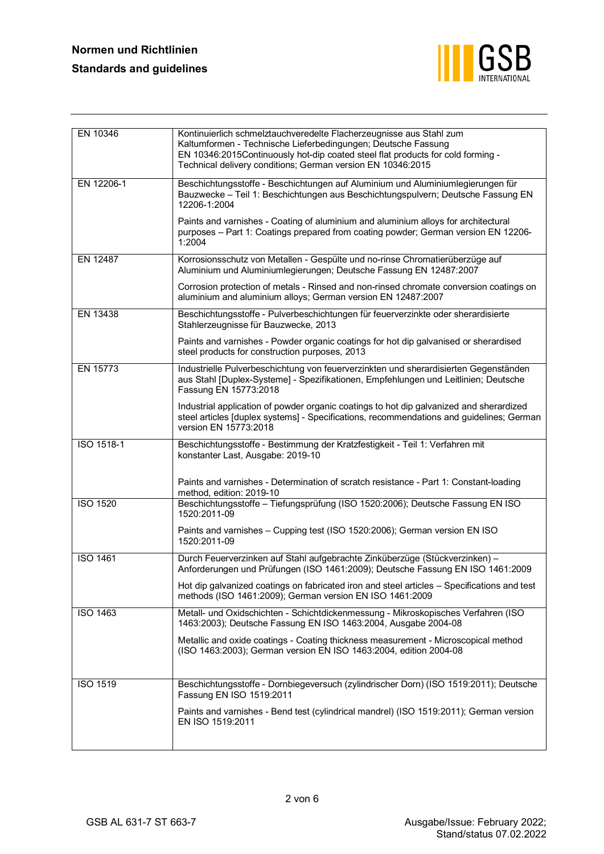

| EN 10346        | Kontinuierlich schmelztauchveredelte Flacherzeugnisse aus Stahl zum<br>Kaltumformen - Technische Lieferbedingungen; Deutsche Fassung<br>EN 10346:2015Continuously hot-dip coated steel flat products for cold forming -<br>Technical delivery conditions; German version EN 10346:2015 |
|-----------------|----------------------------------------------------------------------------------------------------------------------------------------------------------------------------------------------------------------------------------------------------------------------------------------|
| EN 12206-1      | Beschichtungsstoffe - Beschichtungen auf Aluminium und Aluminiumlegierungen für<br>Bauzwecke - Teil 1: Beschichtungen aus Beschichtungspulvern; Deutsche Fassung EN<br>12206-1:2004                                                                                                    |
|                 | Paints and varnishes - Coating of aluminium and aluminium alloys for architectural<br>purposes - Part 1: Coatings prepared from coating powder; German version EN 12206-<br>1:2004                                                                                                     |
| EN 12487        | Korrosionsschutz von Metallen - Gespülte und no-rinse Chromatierüberzüge auf<br>Aluminium und Aluminiumlegierungen; Deutsche Fassung EN 12487:2007                                                                                                                                     |
|                 | Corrosion protection of metals - Rinsed and non-rinsed chromate conversion coatings on<br>aluminium and aluminium alloys; German version EN 12487:2007                                                                                                                                 |
| EN 13438        | Beschichtungsstoffe - Pulverbeschichtungen für feuerverzinkte oder sherardisierte<br>Stahlerzeugnisse für Bauzwecke, 2013                                                                                                                                                              |
|                 | Paints and varnishes - Powder organic coatings for hot dip galvanised or sherardised<br>steel products for construction purposes, 2013                                                                                                                                                 |
| EN 15773        | Industrielle Pulverbeschichtung von feuerverzinkten und sherardisierten Gegenständen<br>aus Stahl [Duplex-Systeme] - Spezifikationen, Empfehlungen und Leitlinien; Deutsche<br>Fassung EN 15773:2018                                                                                   |
|                 | Industrial application of powder organic coatings to hot dip galvanized and sherardized<br>steel articles [duplex systems] - Specifications, recommendations and guidelines; German<br>version EN 15773:2018                                                                           |
| ISO 1518-1      | Beschichtungsstoffe - Bestimmung der Kratzfestigkeit - Teil 1: Verfahren mit<br>konstanter Last, Ausgabe: 2019-10                                                                                                                                                                      |
|                 | Paints and varnishes - Determination of scratch resistance - Part 1: Constant-loading<br>method, edition: 2019-10                                                                                                                                                                      |
| <b>ISO 1520</b> | Beschichtungsstoffe - Tiefungsprüfung (ISO 1520:2006); Deutsche Fassung EN ISO<br>1520:2011-09                                                                                                                                                                                         |
|                 | Paints and varnishes - Cupping test (ISO 1520:2006); German version EN ISO<br>1520:2011-09                                                                                                                                                                                             |
| <b>ISO 1461</b> | Durch Feuerverzinken auf Stahl aufgebrachte Zinküberzüge (Stückverzinken) -<br>Anforderungen und Prüfungen (ISO 1461:2009); Deutsche Fassung EN ISO 1461:2009                                                                                                                          |
|                 | Hot dip galvanized coatings on fabricated iron and steel articles - Specifications and test<br>methods (ISO 1461:2009); German version EN ISO 1461:2009                                                                                                                                |
| <b>ISO 1463</b> | Metall- und Oxidschichten - Schichtdickenmessung - Mikroskopisches Verfahren (ISO<br>1463:2003); Deutsche Fassung EN ISO 1463:2004, Ausgabe 2004-08                                                                                                                                    |
|                 | Metallic and oxide coatings - Coating thickness measurement - Microscopical method<br>(ISO 1463:2003); German version EN ISO 1463:2004, edition 2004-08                                                                                                                                |
| ISO 1519        | Beschichtungsstoffe - Dornbiegeversuch (zylindrischer Dorn) (ISO 1519:2011); Deutsche<br>Fassung EN ISO 1519:2011                                                                                                                                                                      |
|                 | Paints and varnishes - Bend test (cylindrical mandrel) (ISO 1519:2011); German version<br>EN ISO 1519:2011                                                                                                                                                                             |
|                 |                                                                                                                                                                                                                                                                                        |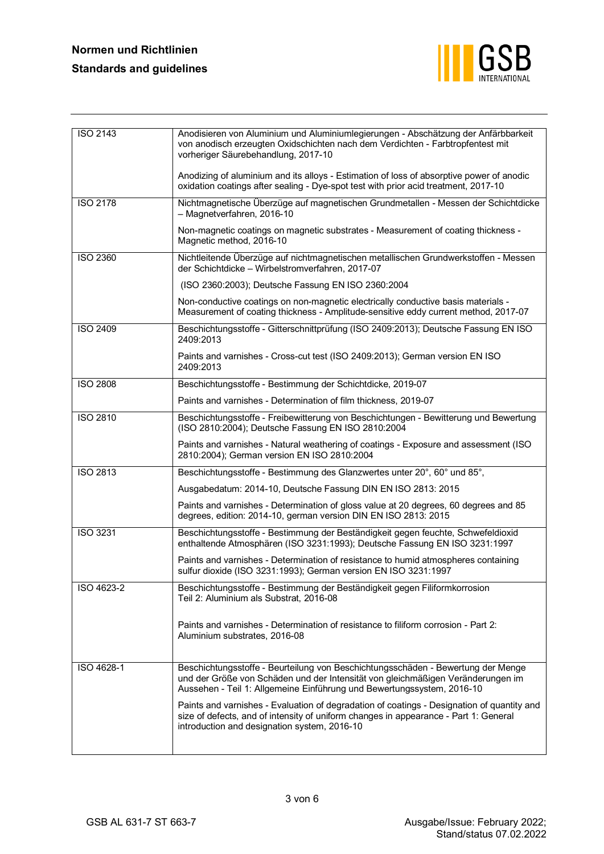# **Normen und Richtlinien Standards and guidelines**



| ISO 2143        | Anodisieren von Aluminium und Aluminiumlegierungen - Abschätzung der Anfärbbarkeit<br>von anodisch erzeugten Oxidschichten nach dem Verdichten - Farbtropfentest mit<br>vorheriger Säurebehandlung, 2017-10                                   |
|-----------------|-----------------------------------------------------------------------------------------------------------------------------------------------------------------------------------------------------------------------------------------------|
|                 | Anodizing of aluminium and its alloys - Estimation of loss of absorptive power of anodic<br>oxidation coatings after sealing - Dye-spot test with prior acid treatment, 2017-10                                                               |
| <b>ISO 2178</b> | Nichtmagnetische Überzüge auf magnetischen Grundmetallen - Messen der Schichtdicke<br>- Magnetverfahren, 2016-10                                                                                                                              |
|                 | Non-magnetic coatings on magnetic substrates - Measurement of coating thickness -<br>Magnetic method, 2016-10                                                                                                                                 |
| ISO 2360        | Nichtleitende Überzüge auf nichtmagnetischen metallischen Grundwerkstoffen - Messen<br>der Schichtdicke - Wirbelstromverfahren, 2017-07                                                                                                       |
|                 | (ISO 2360:2003); Deutsche Fassung EN ISO 2360:2004                                                                                                                                                                                            |
|                 | Non-conductive coatings on non-magnetic electrically conductive basis materials -<br>Measurement of coating thickness - Amplitude-sensitive eddy current method, 2017-07                                                                      |
| <b>ISO 2409</b> | Beschichtungsstoffe - Gitterschnittprüfung (ISO 2409:2013); Deutsche Fassung EN ISO<br>2409:2013                                                                                                                                              |
|                 | Paints and varnishes - Cross-cut test (ISO 2409:2013); German version EN ISO<br>2409:2013                                                                                                                                                     |
| <b>ISO 2808</b> | Beschichtungsstoffe - Bestimmung der Schichtdicke, 2019-07                                                                                                                                                                                    |
|                 | Paints and varnishes - Determination of film thickness, 2019-07                                                                                                                                                                               |
| <b>ISO 2810</b> | Beschichtungsstoffe - Freibewitterung von Beschichtungen - Bewitterung und Bewertung<br>(ISO 2810:2004); Deutsche Fassung EN ISO 2810:2004                                                                                                    |
|                 | Paints and varnishes - Natural weathering of coatings - Exposure and assessment (ISO<br>2810:2004); German version EN ISO 2810:2004                                                                                                           |
| ISO 2813        | Beschichtungsstoffe - Bestimmung des Glanzwertes unter 20°, 60° und 85°,                                                                                                                                                                      |
|                 | Ausgabedatum: 2014-10, Deutsche Fassung DIN EN ISO 2813: 2015                                                                                                                                                                                 |
|                 | Paints and varnishes - Determination of gloss value at 20 degrees, 60 degrees and 85<br>degrees, edition: 2014-10, german version DIN EN ISO 2813: 2015                                                                                       |
| ISO 3231        | Beschichtungsstoffe - Bestimmung der Beständigkeit gegen feuchte, Schwefeldioxid<br>enthaltende Atmosphären (ISO 3231:1993); Deutsche Fassung EN ISO 3231:1997                                                                                |
|                 | Paints and varnishes - Determination of resistance to humid atmospheres containing<br>sulfur dioxide (ISO 3231:1993); German version EN ISO 3231:1997                                                                                         |
| ISO 4623-2      | Beschichtungsstoffe - Bestimmung der Beständigkeit gegen Filiformkorrosion<br>Teil 2: Aluminium als Substrat, 2016-08                                                                                                                         |
|                 | Paints and varnishes - Determination of resistance to filiform corrosion - Part 2:<br>Aluminium substrates, 2016-08                                                                                                                           |
| ISO 4628-1      | Beschichtungsstoffe - Beurteilung von Beschichtungsschäden - Bewertung der Menge<br>und der Größe von Schäden und der Intensität von gleichmäßigen Veränderungen im<br>Aussehen - Teil 1: Allgemeine Einführung und Bewertungssystem, 2016-10 |
|                 | Paints and varnishes - Evaluation of degradation of coatings - Designation of quantity and<br>size of defects, and of intensity of uniform changes in appearance - Part 1: General<br>introduction and designation system, 2016-10            |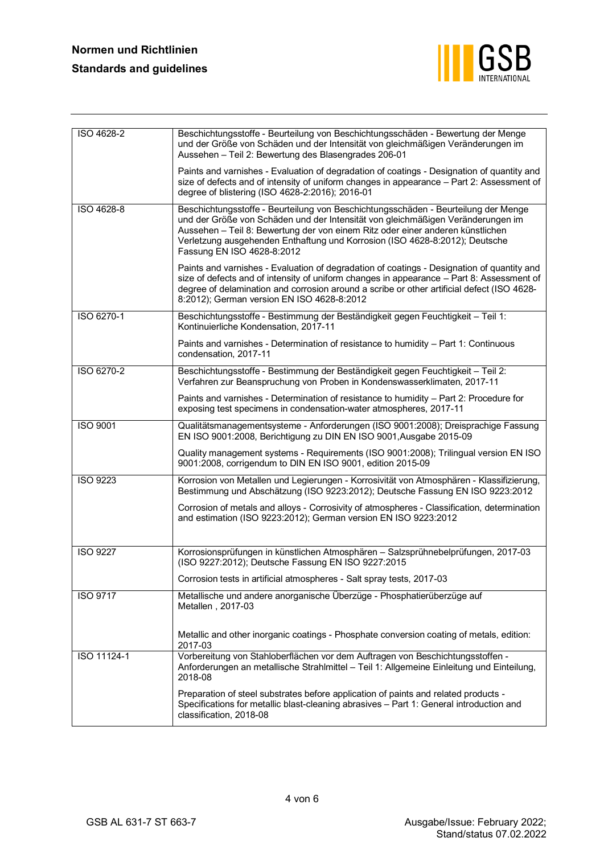

| ISO 4628-2      | Beschichtungsstoffe - Beurteilung von Beschichtungsschäden - Bewertung der Menge<br>und der Größe von Schäden und der Intensität von gleichmäßigen Veränderungen im<br>Aussehen - Teil 2: Bewertung des Blasengrades 206-01                                                                                                                                          |
|-----------------|----------------------------------------------------------------------------------------------------------------------------------------------------------------------------------------------------------------------------------------------------------------------------------------------------------------------------------------------------------------------|
|                 | Paints and varnishes - Evaluation of degradation of coatings - Designation of quantity and<br>size of defects and of intensity of uniform changes in appearance - Part 2: Assessment of<br>degree of blistering (ISO 4628-2:2016); 2016-01                                                                                                                           |
| ISO 4628-8      | Beschichtungsstoffe - Beurteilung von Beschichtungsschäden - Beurteilung der Menge<br>und der Größe von Schäden und der Intensität von gleichmäßigen Veränderungen im<br>Aussehen - Teil 8: Bewertung der von einem Ritz oder einer anderen künstlichen<br>Verletzung ausgehenden Enthaftung und Korrosion (ISO 4628-8:2012); Deutsche<br>Fassung EN ISO 4628-8:2012 |
|                 | Paints and varnishes - Evaluation of degradation of coatings - Designation of quantity and<br>size of defects and of intensity of uniform changes in appearance - Part 8: Assessment of<br>degree of delamination and corrosion around a scribe or other artificial defect (ISO 4628-<br>8:2012); German version EN ISO 4628-8:2012                                  |
| ISO 6270-1      | Beschichtungsstoffe - Bestimmung der Beständigkeit gegen Feuchtigkeit - Teil 1:<br>Kontinuierliche Kondensation, 2017-11                                                                                                                                                                                                                                             |
|                 | Paints and varnishes - Determination of resistance to humidity - Part 1: Continuous<br>condensation, 2017-11                                                                                                                                                                                                                                                         |
| ISO 6270-2      | Beschichtungsstoffe - Bestimmung der Beständigkeit gegen Feuchtigkeit - Teil 2:<br>Verfahren zur Beanspruchung von Proben in Kondenswasserklimaten, 2017-11                                                                                                                                                                                                          |
|                 | Paints and varnishes - Determination of resistance to humidity - Part 2: Procedure for<br>exposing test specimens in condensation-water atmospheres, 2017-11                                                                                                                                                                                                         |
| ISO 9001        | Qualitätsmanagementsysteme - Anforderungen (ISO 9001:2008); Dreisprachige Fassung<br>EN ISO 9001:2008, Berichtigung zu DIN EN ISO 9001, Ausgabe 2015-09                                                                                                                                                                                                              |
|                 | Quality management systems - Requirements (ISO 9001:2008); Trilingual version EN ISO<br>9001:2008, corrigendum to DIN EN ISO 9001, edition 2015-09                                                                                                                                                                                                                   |
| <b>ISO 9223</b> | Korrosion von Metallen und Legierungen - Korrosivität von Atmosphären - Klassifizierung,<br>Bestimmung und Abschätzung (ISO 9223:2012); Deutsche Fassung EN ISO 9223:2012                                                                                                                                                                                            |
|                 | Corrosion of metals and alloys - Corrosivity of atmospheres - Classification, determination<br>and estimation (ISO 9223:2012); German version EN ISO 9223:2012                                                                                                                                                                                                       |
| <b>ISO 9227</b> | Korrosionsprüfungen in künstlichen Atmosphären - Salzsprühnebelprüfungen, 2017-03<br>(ISO 9227:2012); Deutsche Fassung EN ISO 9227:2015                                                                                                                                                                                                                              |
|                 | Corrosion tests in artificial atmospheres - Salt spray tests, 2017-03                                                                                                                                                                                                                                                                                                |
| <b>ISO 9717</b> | Metallische und andere anorganische Überzüge - Phosphatierüberzüge auf<br>Metallen, 2017-03                                                                                                                                                                                                                                                                          |
|                 | Metallic and other inorganic coatings - Phosphate conversion coating of metals, edition:<br>2017-03                                                                                                                                                                                                                                                                  |
| ISO 11124-1     | Vorbereitung von Stahloberflächen vor dem Auftragen von Beschichtungsstoffen -<br>Anforderungen an metallische Strahlmittel - Teil 1: Allgemeine Einleitung und Einteilung,<br>2018-08                                                                                                                                                                               |
|                 | Preparation of steel substrates before application of paints and related products -<br>Specifications for metallic blast-cleaning abrasives - Part 1: General introduction and<br>classification, 2018-08                                                                                                                                                            |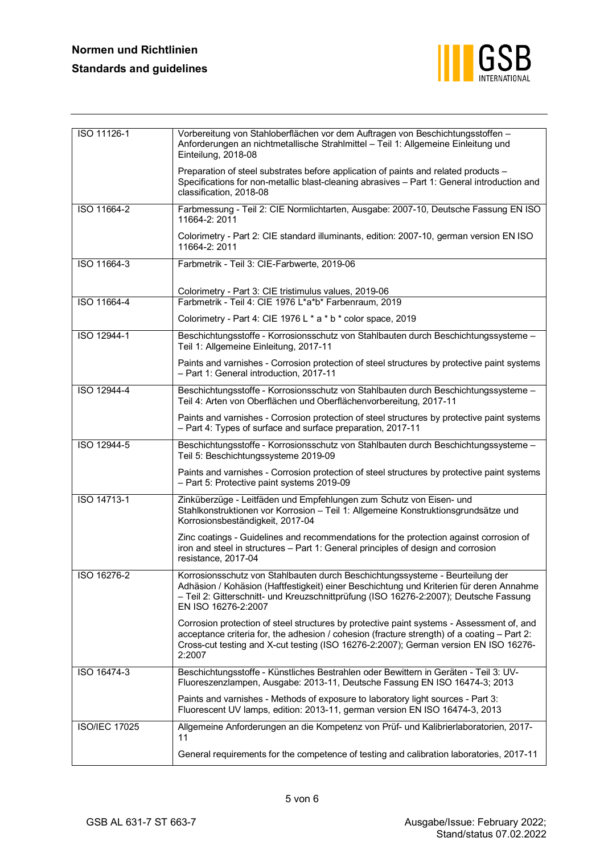

| ISO 11126-1          | Vorbereitung von Stahloberflächen vor dem Auftragen von Beschichtungsstoffen -<br>Anforderungen an nichtmetallische Strahlmittel - Teil 1: Allgemeine Einleitung und<br>Einteilung, 2018-08                                                                                                |
|----------------------|--------------------------------------------------------------------------------------------------------------------------------------------------------------------------------------------------------------------------------------------------------------------------------------------|
|                      | Preparation of steel substrates before application of paints and related products -<br>Specifications for non-metallic blast-cleaning abrasives - Part 1: General introduction and<br>classification, 2018-08                                                                              |
| ISO 11664-2          | Farbmessung - Teil 2: CIE Normlichtarten, Ausgabe: 2007-10, Deutsche Fassung EN ISO<br>11664-2: 2011                                                                                                                                                                                       |
|                      | Colorimetry - Part 2: CIE standard illuminants, edition: 2007-10, german version EN ISO<br>11664-2: 2011                                                                                                                                                                                   |
| ISO 11664-3          | Farbmetrik - Teil 3: CIE-Farbwerte, 2019-06                                                                                                                                                                                                                                                |
|                      | Colorimetry - Part 3: CIE tristimulus values, 2019-06                                                                                                                                                                                                                                      |
| ISO 11664-4          | Farbmetrik - Teil 4: CIE 1976 L*a*b* Farbenraum, 2019                                                                                                                                                                                                                                      |
|                      | Colorimetry - Part 4: CIE 1976 L * a * b * color space, 2019                                                                                                                                                                                                                               |
| ISO 12944-1          | Beschichtungsstoffe - Korrosionsschutz von Stahlbauten durch Beschichtungssysteme -<br>Teil 1: Allgemeine Einleitung, 2017-11                                                                                                                                                              |
|                      | Paints and varnishes - Corrosion protection of steel structures by protective paint systems<br>- Part 1: General introduction, 2017-11                                                                                                                                                     |
| ISO 12944-4          | Beschichtungsstoffe - Korrosionsschutz von Stahlbauten durch Beschichtungssysteme -<br>Teil 4: Arten von Oberflächen und Oberflächenvorbereitung, 2017-11                                                                                                                                  |
|                      | Paints and varnishes - Corrosion protection of steel structures by protective paint systems<br>- Part 4: Types of surface and surface preparation, 2017-11                                                                                                                                 |
| ISO 12944-5          | Beschichtungsstoffe - Korrosionsschutz von Stahlbauten durch Beschichtungssysteme -<br>Teil 5: Beschichtungssysteme 2019-09                                                                                                                                                                |
|                      | Paints and varnishes - Corrosion protection of steel structures by protective paint systems<br>- Part 5: Protective paint systems 2019-09                                                                                                                                                  |
| ISO 14713-1          | Zinküberzüge - Leitfäden und Empfehlungen zum Schutz von Eisen- und<br>Stahlkonstruktionen vor Korrosion - Teil 1: Allgemeine Konstruktionsgrundsätze und<br>Korrosionsbeständigkeit, 2017-04                                                                                              |
|                      | Zinc coatings - Guidelines and recommendations for the protection against corrosion of<br>iron and steel in structures - Part 1: General principles of design and corrosion<br>resistance, 2017-04                                                                                         |
| ISO 16276-2          | Korrosionsschutz von Stahlbauten durch Beschichtungssysteme - Beurteilung der<br>Adhäsion / Kohäsion (Haftfestigkeit) einer Beschichtung und Kriterien für deren Annahme<br>- Teil 2: Gitterschnitt- und Kreuzschnittprüfung (ISO 16276-2:2007); Deutsche Fassung<br>EN ISO 16276-2:2007   |
|                      | Corrosion protection of steel structures by protective paint systems - Assessment of, and<br>acceptance criteria for, the adhesion / cohesion (fracture strength) of a coating - Part 2:<br>Cross-cut testing and X-cut testing (ISO 16276-2:2007); German version EN ISO 16276-<br>2:2007 |
| ISO 16474-3          | Beschichtungsstoffe - Künstliches Bestrahlen oder Bewittern in Geräten - Teil 3: UV-<br>Fluoreszenzlampen, Ausgabe: 2013-11, Deutsche Fassung EN ISO 16474-3; 2013                                                                                                                         |
|                      | Paints and varnishes - Methods of exposure to laboratory light sources - Part 3:<br>Fluorescent UV lamps, edition: 2013-11, german version EN ISO 16474-3, 2013                                                                                                                            |
| <b>ISO/IEC 17025</b> | Allgemeine Anforderungen an die Kompetenz von Prüf- und Kalibrierlaboratorien, 2017-<br>11                                                                                                                                                                                                 |
|                      | General requirements for the competence of testing and calibration laboratories, 2017-11                                                                                                                                                                                                   |